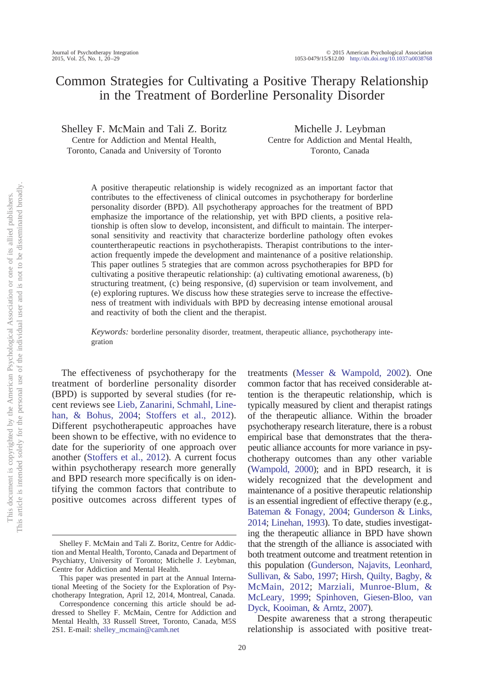# Common Strategies for Cultivating a Positive Therapy Relationship in the Treatment of Borderline Personality Disorder

Shelley F. McMain and Tali Z. Boritz Centre for Addiction and Mental Health, Toronto, Canada and University of Toronto

Michelle J. Leybman Centre for Addiction and Mental Health, Toronto, Canada

A positive therapeutic relationship is widely recognized as an important factor that contributes to the effectiveness of clinical outcomes in psychotherapy for borderline personality disorder (BPD). All psychotherapy approaches for the treatment of BPD emphasize the importance of the relationship, yet with BPD clients, a positive relationship is often slow to develop, inconsistent, and difficult to maintain. The interpersonal sensitivity and reactivity that characterize borderline pathology often evokes countertherapeutic reactions in psychotherapists. Therapist contributions to the interaction frequently impede the development and maintenance of a positive relationship. This paper outlines 5 strategies that are common across psychotherapies for BPD for cultivating a positive therapeutic relationship: (a) cultivating emotional awareness, (b) structuring treatment, (c) being responsive, (d) supervision or team involvement, and (e) exploring ruptures. We discuss how these strategies serve to increase the effectiveness of treatment with individuals with BPD by decreasing intense emotional arousal and reactivity of both the client and the therapist.

*Keywords:* borderline personality disorder, treatment, therapeutic alliance, psychotherapy integration

The effectiveness of psychotherapy for the treatment of borderline personality disorder (BPD) is supported by several studies (for recent reviews see [Lieb, Zanarini, Schmahl, Line](#page-8-0)[han, & Bohus, 2004;](#page-8-0) [Stoffers et al., 2012\)](#page-9-0). Different psychotherapeutic approaches have been shown to be effective, with no evidence to date for the superiority of one approach over another [\(Stoffers et al., 2012\)](#page-9-0). A current focus within psychotherapy research more generally and BPD research more specifically is on identifying the common factors that contribute to positive outcomes across different types of treatments [\(Messer & Wampold, 2002\)](#page-8-1). One common factor that has received considerable attention is the therapeutic relationship, which is typically measured by client and therapist ratings of the therapeutic alliance. Within the broader psychotherapy research literature, there is a robust empirical base that demonstrates that the therapeutic alliance accounts for more variance in psychotherapy outcomes than any other variable [\(Wampold, 2000\)](#page-9-1); and in BPD research, it is widely recognized that the development and maintenance of a positive therapeutic relationship is an essential ingredient of effective therapy (e.g., [Bateman & Fonagy, 2004;](#page-7-0) [Gunderson & Links,](#page-8-2) [2014;](#page-8-2) [Linehan, 1993\)](#page-8-3). To date, studies investigating the therapeutic alliance in BPD have shown that the strength of the alliance is associated with both treatment outcome and treatment retention in this population [\(Gunderson, Najavits, Leonhard,](#page-8-4) [Sullivan, & Sabo, 1997;](#page-8-4) [Hirsh, Quilty, Bagby, &](#page-8-5) [McMain, 2012;](#page-8-5) [Marziali, Munroe-Blum, &](#page-8-6) [McLeary, 1999;](#page-8-6) [Spinhoven, Giesen-Bloo, van](#page-9-2) [Dyck, Kooiman, & Arntz, 2007\)](#page-9-2).

Despite awareness that a strong therapeutic relationship is associated with positive treat-

Shelley F. McMain and Tali Z. Boritz, Centre for Addiction and Mental Health, Toronto, Canada and Department of Psychiatry, University of Toronto; Michelle J. Leybman, Centre for Addiction and Mental Health.

This paper was presented in part at the Annual International Meeting of the Society for the Exploration of Psychotherapy Integration, April 12, 2014, Montreal, Canada.

Correspondence concerning this article should be addressed to Shelley F. McMain, Centre for Addiction and Mental Health, 33 Russell Street, Toronto, Canada, M5S 2S1. E-mail: [shelley\\_mcmain@camh.net](mailto:shelley_mcmain@camh.net)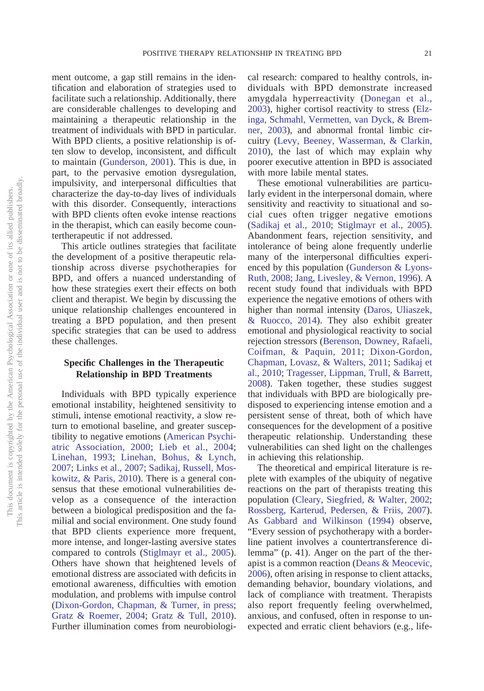ment outcome, a gap still remains in the identification and elaboration of strategies used to facilitate such a relationship. Additionally, there are considerable challenges to developing and maintaining a therapeutic relationship in the treatment of individuals with BPD in particular. With BPD clients, a positive relationship is often slow to develop, inconsistent, and difficult to maintain [\(Gunderson, 2001\)](#page-8-7). This is due, in part, to the pervasive emotion dysregulation, impulsivity, and interpersonal difficulties that characterize the day-to-day lives of individuals with this disorder. Consequently, interactions with BPD clients often evoke intense reactions in the therapist, which can easily become countertherapeutic if not addressed.

This article outlines strategies that facilitate the development of a positive therapeutic relationship across diverse psychotherapies for BPD, and offers a nuanced understanding of how these strategies exert their effects on both client and therapist. We begin by discussing the unique relationship challenges encountered in treating a BPD population, and then present specific strategies that can be used to address these challenges.

# **Specific Challenges in the Therapeutic Relationship in BPD Treatments**

Individuals with BPD typically experience emotional instability, heightened sensitivity to stimuli, intense emotional reactivity, a slow return to emotional baseline, and greater susceptibility to negative emotions [\(American Psychi](#page-7-1)[atric Association, 2000;](#page-7-1) [Lieb et al., 2004;](#page-8-0) [Linehan, 1993;](#page-8-3) [Linehan, Bohus, & Lynch,](#page-8-8) [2007;](#page-8-8) [Links et al., 2007;](#page-8-9) [Sadikaj, Russell, Mos](#page-9-3)[kowitz, & Paris, 2010\)](#page-9-3). There is a general consensus that these emotional vulnerabilities develop as a consequence of the interaction between a biological predisposition and the familial and social environment. One study found that BPD clients experience more frequent, more intense, and longer-lasting aversive states compared to controls [\(Stiglmayr et al., 2005\)](#page-9-4). Others have shown that heightened levels of emotional distress are associated with deficits in emotional awareness, difficulties with emotion modulation, and problems with impulse control [\(Dixon-Gordon, Chapman, & Turner, in press;](#page-7-2) [Gratz & Roemer, 2004;](#page-8-10) [Gratz & Tull, 2010\)](#page-8-11). Further illumination comes from neurobiological research: compared to healthy controls, individuals with BPD demonstrate increased amygdala hyperreactivity [\(Donegan et al.,](#page-7-3) [2003\)](#page-7-3), higher cortisol reactivity to stress [\(Elz](#page-7-4)[inga, Schmahl, Vermetten, van Dyck, & Brem](#page-7-4)[ner, 2003\)](#page-7-4), and abnormal frontal limbic circuitry [\(Levy, Beeney, Wasserman, & Clarkin,](#page-8-12) [2010\)](#page-8-12), the last of which may explain why poorer executive attention in BPD is associated with more labile mental states.

These emotional vulnerabilities are particularly evident in the interpersonal domain, where sensitivity and reactivity to situational and social cues often trigger negative emotions [\(Sadikaj et al., 2010;](#page-9-3) [Stiglmayr et al., 2005\)](#page-9-4). Abandonment fears, rejection sensitivity, and intolerance of being alone frequently underlie many of the interpersonal difficulties experienced by this population [\(Gunderson & Lyons-](#page-8-13)[Ruth, 2008;](#page-8-13) [Jang, Livesley, & Vernon, 1996\)](#page-8-14). A recent study found that individuals with BPD experience the negative emotions of others with higher than normal intensity [\(Daros, Uliaszek,](#page-7-5) [& Ruocco, 2014\)](#page-7-5). They also exhibit greater emotional and physiological reactivity to social rejection stressors [\(Berenson, Downey, Rafaeli,](#page-7-6) [Coifman, & Paquin, 2011;](#page-7-6) [Dixon-Gordon,](#page-7-7) [Chapman, Lovasz, & Walters, 2011;](#page-7-7) [Sadikaj et](#page-9-3) [al., 2010;](#page-9-3) [Tragesser, Lippman, Trull, & Barrett,](#page-9-5) [2008\)](#page-9-5). Taken together, these studies suggest that individuals with BPD are biologically predisposed to experiencing intense emotion and a persistent sense of threat, both of which have consequences for the development of a positive therapeutic relationship. Understanding these vulnerabilities can shed light on the challenges in achieving this relationship.

The theoretical and empirical literature is replete with examples of the ubiquity of negative reactions on the part of therapists treating this population [\(Cleary, Siegfried, & Walter, 2002;](#page-7-8) [Rossberg, Karterud, Pedersen, & Friis, 2007\)](#page-9-6). As [Gabbard and Wilkinson \(1994\)](#page-8-15) observe, "Every session of psychotherapy with a borderline patient involves a countertransference dilemma" (p. 41). Anger on the part of the therapist is a common reaction [\(Deans & Meocevic,](#page-7-9) [2006\)](#page-7-9), often arising in response to client attacks, demanding behavior, boundary violations, and lack of compliance with treatment. Therapists also report frequently feeling overwhelmed, anxious, and confused, often in response to unexpected and erratic client behaviors (e.g., life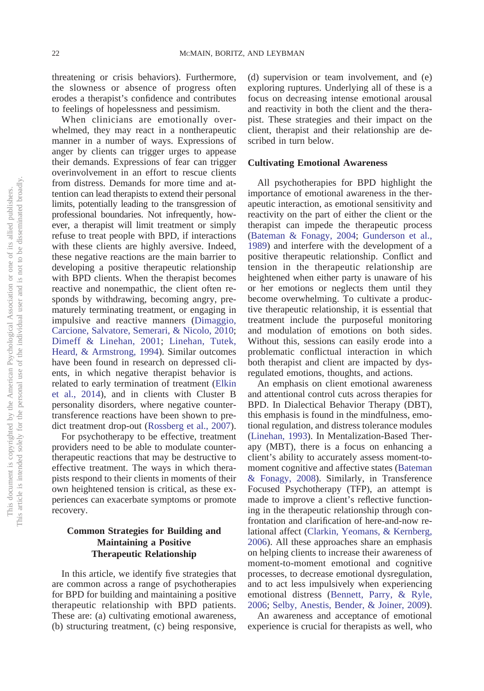threatening or crisis behaviors). Furthermore, the slowness or absence of progress often erodes a therapist's confidence and contributes to feelings of hopelessness and pessimism.

When clinicians are emotionally overwhelmed, they may react in a nontherapeutic manner in a number of ways. Expressions of anger by clients can trigger urges to appease their demands. Expressions of fear can trigger overinvolvement in an effort to rescue clients from distress. Demands for more time and attention can lead therapists to extend their personal limits, potentially leading to the transgression of professional boundaries. Not infrequently, however, a therapist will limit treatment or simply refuse to treat people with BPD, if interactions with these clients are highly aversive. Indeed, these negative reactions are the main barrier to developing a positive therapeutic relationship with BPD clients. When the therapist becomes reactive and nonempathic, the client often responds by withdrawing, becoming angry, prematurely terminating treatment, or engaging in impulsive and reactive manners [\(Dimaggio,](#page-7-10) [Carcione, Salvatore, Semerari, & Nicolo, 2010;](#page-7-10) [Dimeff & Linehan, 2001;](#page-7-11) [Linehan, Tutek,](#page-8-16) [Heard, & Armstrong, 1994\)](#page-8-16). Similar outcomes have been found in research on depressed clients, in which negative therapist behavior is related to early termination of treatment [\(Elkin](#page-7-12) [et al., 2014\)](#page-7-12), and in clients with Cluster B personality disorders, where negative countertransference reactions have been shown to predict treatment drop-out [\(Rossberg et al., 2007\)](#page-9-6).

For psychotherapy to be effective, treatment providers need to be able to modulate countertherapeutic reactions that may be destructive to effective treatment. The ways in which therapists respond to their clients in moments of their own heightened tension is critical, as these experiences can exacerbate symptoms or promote recovery.

# **Common Strategies for Building and Maintaining a Positive Therapeutic Relationship**

In this article, we identify five strategies that are common across a range of psychotherapies for BPD for building and maintaining a positive therapeutic relationship with BPD patients. These are: (a) cultivating emotional awareness, (b) structuring treatment, (c) being responsive, (d) supervision or team involvement, and (e) exploring ruptures. Underlying all of these is a focus on decreasing intense emotional arousal and reactivity in both the client and the therapist. These strategies and their impact on the client, therapist and their relationship are described in turn below.

#### **Cultivating Emotional Awareness**

All psychotherapies for BPD highlight the importance of emotional awareness in the therapeutic interaction, as emotional sensitivity and reactivity on the part of either the client or the therapist can impede the therapeutic process [\(Bateman & Fonagy, 2004;](#page-7-0) [Gunderson et al.,](#page-8-17) [1989\)](#page-8-17) and interfere with the development of a positive therapeutic relationship. Conflict and tension in the therapeutic relationship are heightened when either party is unaware of his or her emotions or neglects them until they become overwhelming. To cultivate a productive therapeutic relationship, it is essential that treatment include the purposeful monitoring and modulation of emotions on both sides. Without this, sessions can easily erode into a problematic conflictual interaction in which both therapist and client are impacted by dysregulated emotions, thoughts, and actions.

An emphasis on client emotional awareness and attentional control cuts across therapies for BPD. In Dialectical Behavior Therapy (DBT), this emphasis is found in the mindfulness, emotional regulation, and distress tolerance modules [\(Linehan, 1993\)](#page-8-3). In Mentalization-Based Therapy (MBT), there is a focus on enhancing a client's ability to accurately assess moment-tomoment cognitive and affective states [\(Bateman](#page-7-13) [& Fonagy, 2008\)](#page-7-13). Similarly, in Transference Focused Psychotherapy (TFP), an attempt is made to improve a client's reflective functioning in the therapeutic relationship through confrontation and clarification of here-and-now relational affect [\(Clarkin, Yeomans, & Kernberg,](#page-7-14) [2006\)](#page-7-14). All these approaches share an emphasis on helping clients to increase their awareness of moment-to-moment emotional and cognitive processes, to decrease emotional dysregulation, and to act less impulsively when experiencing emotional distress [\(Bennett, Parry, & Ryle,](#page-7-15) [2006;](#page-7-15) [Selby, Anestis, Bender, & Joiner, 2009\)](#page-9-7).

An awareness and acceptance of emotional experience is crucial for therapists as well, who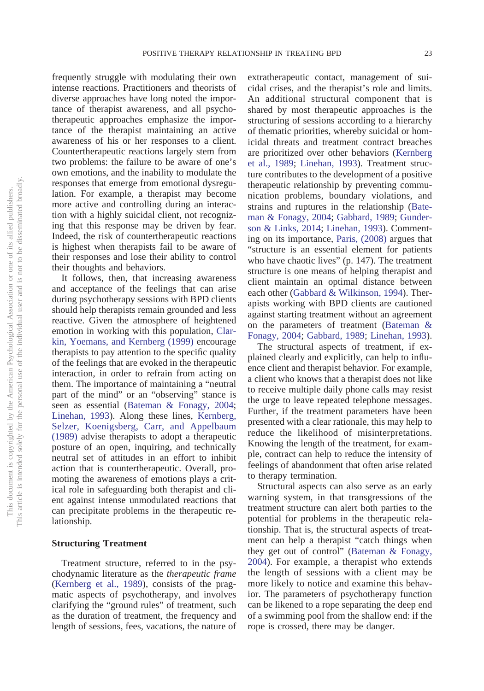frequently struggle with modulating their own intense reactions. Practitioners and theorists of diverse approaches have long noted the importance of therapist awareness, and all psychotherapeutic approaches emphasize the importance of the therapist maintaining an active awareness of his or her responses to a client. Countertherapeutic reactions largely stem from two problems: the failure to be aware of one's own emotions, and the inability to modulate the responses that emerge from emotional dysregulation. For example, a therapist may become more active and controlling during an interaction with a highly suicidal client, not recognizing that this response may be driven by fear. Indeed, the risk of countertherapeutic reactions is highest when therapists fail to be aware of their responses and lose their ability to control their thoughts and behaviors.

It follows, then, that increasing awareness and acceptance of the feelings that can arise during psychotherapy sessions with BPD clients should help therapists remain grounded and less reactive. Given the atmosphere of heightened emotion in working with this population, [Clar](#page-7-16)[kin, Yoemans, and Kernberg \(1999\)](#page-7-16) encourage therapists to pay attention to the specific quality of the feelings that are evoked in the therapeutic interaction, in order to refrain from acting on them. The importance of maintaining a "neutral part of the mind" or an "observing" stance is seen as essential [\(Bateman & Fonagy, 2004;](#page-7-0) [Linehan, 1993\)](#page-8-3). Along these lines, [Kernberg,](#page-8-18) [Selzer, Koenigsberg, Carr, and Appelbaum](#page-8-18) [\(1989\)](#page-8-18) advise therapists to adopt a therapeutic posture of an open, inquiring, and technically neutral set of attitudes in an effort to inhibit action that is countertherapeutic. Overall, promoting the awareness of emotions plays a critical role in safeguarding both therapist and client against intense unmodulated reactions that can precipitate problems in the therapeutic relationship.

#### **Structuring Treatment**

Treatment structure, referred to in the psychodynamic literature as the *therapeutic frame* [\(Kernberg et al., 1989\)](#page-8-18), consists of the pragmatic aspects of psychotherapy, and involves clarifying the "ground rules" of treatment, such as the duration of treatment, the frequency and length of sessions, fees, vacations, the nature of extratherapeutic contact, management of suicidal crises, and the therapist's role and limits. An additional structural component that is shared by most therapeutic approaches is the structuring of sessions according to a hierarchy of thematic priorities, whereby suicidal or homicidal threats and treatment contract breaches are prioritized over other behaviors [\(Kernberg](#page-8-18) [et al., 1989;](#page-8-18) [Linehan, 1993\)](#page-8-3). Treatment structure contributes to the development of a positive therapeutic relationship by preventing communication problems, boundary violations, and strains and ruptures in the relationship [\(Bate](#page-7-0)[man & Fonagy, 2004;](#page-7-0) [Gabbard, 1989;](#page-8-19) [Gunder](#page-8-2)[son & Links, 2014;](#page-8-2) [Linehan, 1993\)](#page-8-3). Commenting on its importance, [Paris, \(2008\)](#page-9-8) argues that "structure is an essential element for patients who have chaotic lives" (p. 147). The treatment structure is one means of helping therapist and client maintain an optimal distance between each other [\(Gabbard & Wilkinson, 1994\)](#page-8-15). Therapists working with BPD clients are cautioned against starting treatment without an agreement on the parameters of treatment [\(Bateman &](#page-7-0) [Fonagy, 2004;](#page-7-0) [Gabbard, 1989;](#page-8-19) [Linehan, 1993\)](#page-8-3).

The structural aspects of treatment, if explained clearly and explicitly, can help to influence client and therapist behavior. For example, a client who knows that a therapist does not like to receive multiple daily phone calls may resist the urge to leave repeated telephone messages. Further, if the treatment parameters have been presented with a clear rationale, this may help to reduce the likelihood of misinterpretations. Knowing the length of the treatment, for example, contract can help to reduce the intensity of feelings of abandonment that often arise related to therapy termination.

Structural aspects can also serve as an early warning system, in that transgressions of the treatment structure can alert both parties to the potential for problems in the therapeutic relationship. That is, the structural aspects of treatment can help a therapist "catch things when they get out of control" [\(Bateman & Fonagy,](#page-7-0) [2004\)](#page-7-0). For example, a therapist who extends the length of sessions with a client may be more likely to notice and examine this behavior. The parameters of psychotherapy function can be likened to a rope separating the deep end of a swimming pool from the shallow end: if the rope is crossed, there may be danger.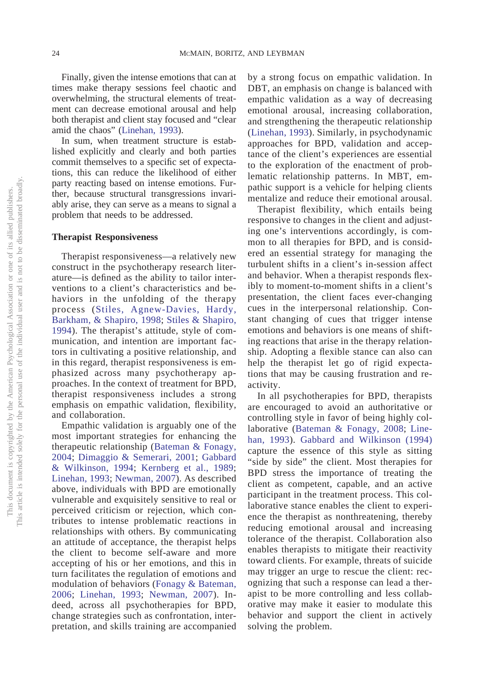Finally, given the intense emotions that can at times make therapy sessions feel chaotic and overwhelming, the structural elements of treatment can decrease emotional arousal and help both therapist and client stay focused and "clear amid the chaos" [\(Linehan, 1993\)](#page-8-3).

In sum, when treatment structure is established explicitly and clearly and both parties commit themselves to a specific set of expectations, this can reduce the likelihood of either party reacting based on intense emotions. Further, because structural transgressions invariably arise, they can serve as a means to signal a problem that needs to be addressed.

### **Therapist Responsiveness**

Therapist responsiveness—a relatively new construct in the psychotherapy research literature—is defined as the ability to tailor interventions to a client's characteristics and behaviors in the unfolding of the therapy process [\(Stiles, Agnew-Davies, Hardy,](#page-9-9) [Barkham, & Shapiro, 1998;](#page-9-9) [Stiles & Shapiro,](#page-9-10) [1994\)](#page-9-10). The therapist's attitude, style of communication, and intention are important factors in cultivating a positive relationship, and in this regard, therapist responsiveness is emphasized across many psychotherapy approaches. In the context of treatment for BPD, therapist responsiveness includes a strong emphasis on empathic validation, flexibility, and collaboration.

Empathic validation is arguably one of the most important strategies for enhancing the therapeutic relationship [\(Bateman & Fonagy,](#page-7-0) [2004;](#page-7-0) [Dimaggio & Semerari, 2001;](#page-7-17) [Gabbard](#page-8-15) [& Wilkinson, 1994;](#page-8-15) [Kernberg et al., 1989;](#page-8-18) [Linehan, 1993;](#page-8-3) [Newman, 2007\)](#page-8-20). As described above, individuals with BPD are emotionally vulnerable and exquisitely sensitive to real or perceived criticism or rejection, which contributes to intense problematic reactions in relationships with others. By communicating an attitude of acceptance, the therapist helps the client to become self-aware and more accepting of his or her emotions, and this in turn facilitates the regulation of emotions and modulation of behaviors [\(Fonagy & Bateman,](#page-8-21) [2006;](#page-8-21) [Linehan, 1993;](#page-8-3) [Newman, 2007\)](#page-8-20). Indeed, across all psychotherapies for BPD, change strategies such as confrontation, interpretation, and skills training are accompanied by a strong focus on empathic validation. In DBT, an emphasis on change is balanced with empathic validation as a way of decreasing emotional arousal, increasing collaboration, and strengthening the therapeutic relationship [\(Linehan, 1993\)](#page-8-3). Similarly, in psychodynamic approaches for BPD, validation and acceptance of the client's experiences are essential to the exploration of the enactment of problematic relationship patterns. In MBT, empathic support is a vehicle for helping clients mentalize and reduce their emotional arousal.

Therapist flexibility, which entails being responsive to changes in the client and adjusting one's interventions accordingly, is common to all therapies for BPD, and is considered an essential strategy for managing the turbulent shifts in a client's in-session affect and behavior. When a therapist responds flexibly to moment-to-moment shifts in a client's presentation, the client faces ever-changing cues in the interpersonal relationship. Constant changing of cues that trigger intense emotions and behaviors is one means of shifting reactions that arise in the therapy relationship. Adopting a flexible stance can also can help the therapist let go of rigid expectations that may be causing frustration and reactivity.

In all psychotherapies for BPD, therapists are encouraged to avoid an authoritative or controlling style in favor of being highly collaborative [\(Bateman & Fonagy, 2008;](#page-7-13) [Line](#page-8-3)[han, 1993\)](#page-8-3). [Gabbard and Wilkinson \(1994\)](#page-8-15) capture the essence of this style as sitting "side by side" the client. Most therapies for BPD stress the importance of treating the client as competent, capable, and an active participant in the treatment process. This collaborative stance enables the client to experience the therapist as nonthreatening, thereby reducing emotional arousal and increasing tolerance of the therapist. Collaboration also enables therapists to mitigate their reactivity toward clients. For example, threats of suicide may trigger an urge to rescue the client: recognizing that such a response can lead a therapist to be more controlling and less collaborative may make it easier to modulate this behavior and support the client in actively solving the problem.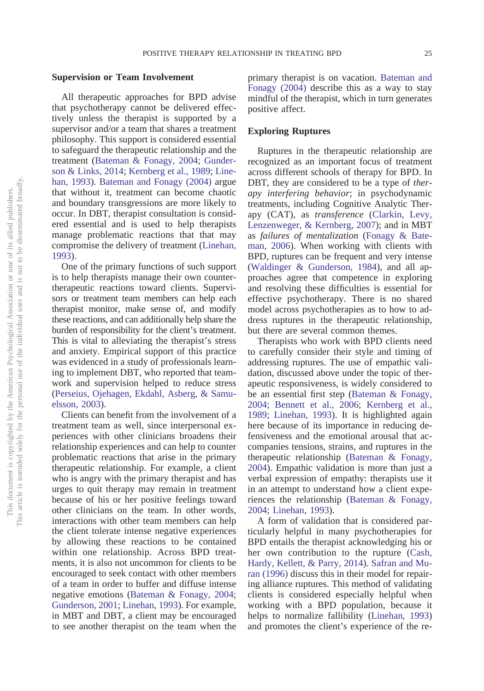All therapeutic approaches for BPD advise that psychotherapy cannot be delivered effectively unless the therapist is supported by a supervisor and/or a team that shares a treatment philosophy. This support is considered essential to safeguard the therapeutic relationship and the treatment [\(Bateman & Fonagy, 2004;](#page-7-0) [Gunder](#page-8-2)[son & Links, 2014;](#page-8-2) [Kernberg et al., 1989;](#page-8-18) [Line](#page-8-3)[han, 1993\)](#page-8-3). [Bateman and Fonagy \(2004\)](#page-7-0) argue that without it, treatment can become chaotic and boundary transgressions are more likely to occur. In DBT, therapist consultation is considered essential and is used to help therapists manage problematic reactions that that may compromise the delivery of treatment [\(Linehan,](#page-8-3) [1993\)](#page-8-3).

One of the primary functions of such support is to help therapists manage their own countertherapeutic reactions toward clients. Supervisors or treatment team members can help each therapist monitor, make sense of, and modify these reactions, and can additionally help share the burden of responsibility for the client's treatment. This is vital to alleviating the therapist's stress and anxiety. Empirical support of this practice was evidenced in a study of professionals learning to implement DBT, who reported that teamwork and supervision helped to reduce stress [\(Perseius, Ojehagen, Ekdahl, Asberg, & Samu](#page-9-11)[elsson, 2003\)](#page-9-11).

Clients can benefit from the involvement of a treatment team as well, since interpersonal experiences with other clinicians broadens their relationship experiences and can help to counter problematic reactions that arise in the primary therapeutic relationship. For example, a client who is angry with the primary therapist and has urges to quit therapy may remain in treatment because of his or her positive feelings toward other clinicians on the team. In other words, interactions with other team members can help the client tolerate intense negative experiences by allowing these reactions to be contained within one relationship. Across BPD treatments, it is also not uncommon for clients to be encouraged to seek contact with other members of a team in order to buffer and diffuse intense negative emotions [\(Bateman & Fonagy, 2004;](#page-7-0) [Gunderson, 2001;](#page-8-7) [Linehan, 1993\)](#page-8-3). For example, in MBT and DBT, a client may be encouraged to see another therapist on the team when the

primary therapist is on vacation. [Bateman and](#page-7-0) [Fonagy \(2004\)](#page-7-0) describe this as a way to stay mindful of the therapist, which in turn generates positive affect.

# **Exploring Ruptures**

Ruptures in the therapeutic relationship are recognized as an important focus of treatment across different schools of therapy for BPD. In DBT, they are considered to be a type of *therapy interfering behavior*; in psychodynamic treatments, including Cognitive Analytic Therapy (CAT), as *transference* [\(Clarkin, Levy,](#page-7-18) [Lenzenweger, & Kernberg, 2007\)](#page-7-18); and in MBT as *failures of mentalization* [\(Fonagy & Bate](#page-8-21)[man, 2006\)](#page-8-21). When working with clients with BPD, ruptures can be frequent and very intense [\(Waldinger & Gunderson, 1984\)](#page-9-12), and all approaches agree that competence in exploring and resolving these difficulties is essential for effective psychotherapy. There is no shared model across psychotherapies as to how to address ruptures in the therapeutic relationship, but there are several common themes.

Therapists who work with BPD clients need to carefully consider their style and timing of addressing ruptures. The use of empathic validation, discussed above under the topic of therapeutic responsiveness, is widely considered to be an essential first step [\(Bateman & Fonagy,](#page-7-0) [2004;](#page-7-0) [Bennett et al., 2006;](#page-7-15) [Kernberg et al.,](#page-8-18) [1989;](#page-8-18) [Linehan, 1993\)](#page-8-3). It is highlighted again here because of its importance in reducing defensiveness and the emotional arousal that accompanies tensions, strains, and ruptures in the therapeutic relationship [\(Bateman & Fonagy,](#page-7-0) [2004\)](#page-7-0). Empathic validation is more than just a verbal expression of empathy: therapists use it in an attempt to understand how a client experiences the relationship [\(Bateman & Fonagy,](#page-7-0) [2004;](#page-7-0) [Linehan, 1993\)](#page-8-3).

A form of validation that is considered particularly helpful in many psychotherapies for BPD entails the therapist acknowledging his or her own contribution to the rupture [\(Cash,](#page-7-19) [Hardy, Kellett, & Parry, 2014\)](#page-7-19). [Safran and Mu](#page-9-13)[ran \(1996\)](#page-9-13) discuss this in their model for repairing alliance ruptures. This method of validating clients is considered especially helpful when working with a BPD population, because it helps to normalize fallibility [\(Linehan, 1993\)](#page-8-3) and promotes the client's experience of the re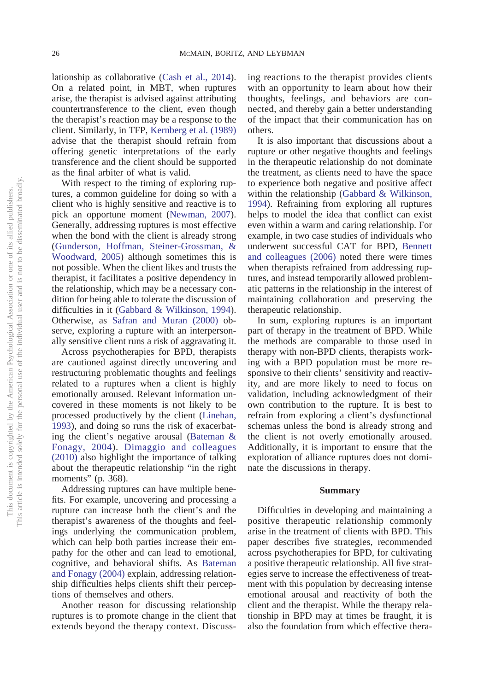lationship as collaborative [\(Cash et al., 2014\)](#page-7-19). On a related point, in MBT, when ruptures arise, the therapist is advised against attributing countertransference to the client, even though the therapist's reaction may be a response to the client. Similarly, in TFP, [Kernberg et al. \(1989\)](#page-8-18) advise that the therapist should refrain from offering genetic interpretations of the early transference and the client should be supported as the final arbiter of what is valid.

With respect to the timing of exploring ruptures, a common guideline for doing so with a client who is highly sensitive and reactive is to pick an opportune moment [\(Newman, 2007\)](#page-8-20). Generally, addressing ruptures is most effective when the bond with the client is already strong [\(Gunderson, Hoffman, Steiner-Grossman, &](#page-8-22) [Woodward, 2005\)](#page-8-22) although sometimes this is not possible. When the client likes and trusts the therapist, it facilitates a positive dependency in the relationship, which may be a necessary condition for being able to tolerate the discussion of difficulties in it [\(Gabbard & Wilkinson, 1994\)](#page-8-15). Otherwise, as [Safran and Muran \(2000\)](#page-9-14) observe, exploring a rupture with an interpersonally sensitive client runs a risk of aggravating it.

Across psychotherapies for BPD, therapists are cautioned against directly uncovering and restructuring problematic thoughts and feelings related to a ruptures when a client is highly emotionally aroused. Relevant information uncovered in these moments is not likely to be processed productively by the client [\(Linehan,](#page-8-3) [1993\)](#page-8-3), and doing so runs the risk of exacerbating the client's negative arousal [\(Bateman &](#page-7-0) [Fonagy, 2004\)](#page-7-0). [Dimaggio and colleagues](#page-7-10) [\(2010\)](#page-7-10) also highlight the importance of talking about the therapeutic relationship "in the right moments" (p. 368).

Addressing ruptures can have multiple benefits. For example, uncovering and processing a rupture can increase both the client's and the therapist's awareness of the thoughts and feelings underlying the communication problem, which can help both parties increase their empathy for the other and can lead to emotional, cognitive, and behavioral shifts. As [Bateman](#page-7-0) [and Fonagy \(2004\)](#page-7-0) explain, addressing relationship difficulties helps clients shift their perceptions of themselves and others.

Another reason for discussing relationship ruptures is to promote change in the client that extends beyond the therapy context. Discuss-

ing reactions to the therapist provides clients with an opportunity to learn about how their thoughts, feelings, and behaviors are connected, and thereby gain a better understanding of the impact that their communication has on others.

It is also important that discussions about a rupture or other negative thoughts and feelings in the therapeutic relationship do not dominate the treatment, as clients need to have the space to experience both negative and positive affect within the relationship [\(Gabbard & Wilkinson,](#page-8-15) [1994\)](#page-8-15). Refraining from exploring all ruptures helps to model the idea that conflict can exist even within a warm and caring relationship. For example, in two case studies of individuals who underwent successful CAT for BPD, [Bennett](#page-7-15) [and colleagues \(2006\)](#page-7-15) noted there were times when therapists refrained from addressing ruptures, and instead temporarily allowed problematic patterns in the relationship in the interest of maintaining collaboration and preserving the therapeutic relationship.

In sum, exploring ruptures is an important part of therapy in the treatment of BPD. While the methods are comparable to those used in therapy with non-BPD clients, therapists working with a BPD population must be more responsive to their clients' sensitivity and reactivity, and are more likely to need to focus on validation, including acknowledgment of their own contribution to the rupture. It is best to refrain from exploring a client's dysfunctional schemas unless the bond is already strong and the client is not overly emotionally aroused. Additionally, it is important to ensure that the exploration of alliance ruptures does not dominate the discussions in therapy.

#### **Summary**

Difficulties in developing and maintaining a positive therapeutic relationship commonly arise in the treatment of clients with BPD. This paper describes five strategies, recommended across psychotherapies for BPD, for cultivating a positive therapeutic relationship. All five strategies serve to increase the effectiveness of treatment with this population by decreasing intense emotional arousal and reactivity of both the client and the therapist. While the therapy relationship in BPD may at times be fraught, it is also the foundation from which effective thera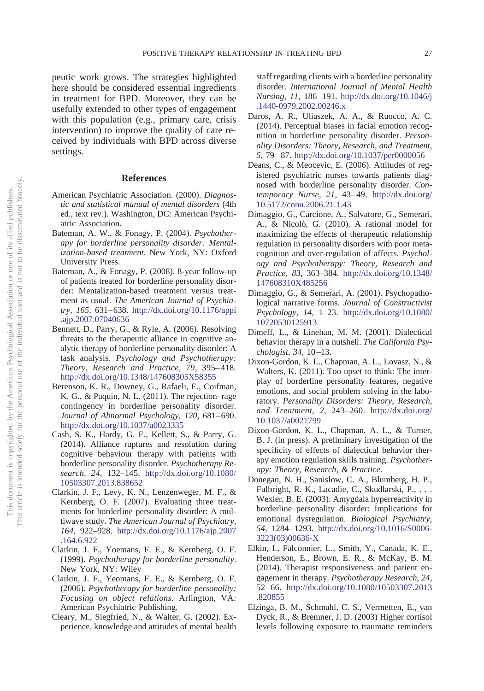peutic work grows. The strategies highlighted here should be considered essential ingredients in treatment for BPD. Moreover, they can be usefully extended to other types of engagement with this population (e.g., primary care, crisis intervention) to improve the quality of care received by individuals with BPD across diverse settings.

#### **References**

- <span id="page-7-1"></span>American Psychiatric Association. (2000). *Diagnostic and statistical manual of mental disorders* (4th ed., text rev.). Washington, DC: American Psychiatric Association.
- <span id="page-7-0"></span>Bateman, A. W., & Fonagy, P. (2004). *Psychotherapy for borderline personality disorder: Mentalization-based treatment*. New York, NY: Oxford University Press.
- <span id="page-7-13"></span>Bateman, A., & Fonagy, P. (2008). 8-year follow-up of patients treated for borderline personality disorder: Mentalization-based treatment versus treatment as usual. *The American Journal of Psychiatry, 165,* 631– 638. [http://dx.doi.org/10.1176/appi](http://dx.doi.org/10.1176/appi.ajp.2007.07040636) [.ajp.2007.07040636](http://dx.doi.org/10.1176/appi.ajp.2007.07040636)
- <span id="page-7-15"></span>Bennett, D., Parry, G., & Ryle, A. (2006). Resolving threats to the therapeutic alliance in cognitive analytic therapy of borderline personality disorder: A task analysis. *Psychology and Psychotherapy: Theory, Research and Practice, 79,* 395– 418. <http://dx.doi.org/10.1348/147608305X58355>
- <span id="page-7-6"></span>Berenson, K. R., Downey, G., Rafaeli, E., Coifman, K. G., & Paquin, N. L. (2011). The rejection–rage contingency in borderline personality disorder. *Journal of Abnormal Psychology, 120,* 681– 690. <http://dx.doi.org/10.1037/a0023335>
- <span id="page-7-19"></span>Cash, S. K., Hardy, G. E., Kellett, S., & Parry, G. (2014). Alliance ruptures and resolution during cognitive behaviour therapy with patients with borderline personality disorder. *Psychotherapy Research, 24,* 132–145. [http://dx.doi.org/10.1080/](http://dx.doi.org/10.1080/10503307.2013.838652) [10503307.2013.838652](http://dx.doi.org/10.1080/10503307.2013.838652)
- <span id="page-7-18"></span>Clarkin, J. F., Levy, K. N., Lenzenweger, M. F., & Kernberg, O. F. (2007). Evaluating three treatments for borderline personality disorder: A multiwave study. *The American Journal of Psychiatry, 164,* 922–928. [http://dx.doi.org/10.1176/ajp.2007](http://dx.doi.org/10.1176/ajp.2007.164.6.922) [.164.6.922](http://dx.doi.org/10.1176/ajp.2007.164.6.922)
- <span id="page-7-16"></span>Clarkin, J. F., Yoemans, F. E., & Kernberg, O. F. (1999). *Psychotherapy for borderline personality*. New York, NY: Wiley
- <span id="page-7-14"></span>Clarkin, J. F., Yeomans, F. E., & Kernberg, O. F. (2006). *Psychotherapy for borderline personality: Focusing on object relations*. Arlington, VA: American Psychiatric Publishing.
- <span id="page-7-8"></span>Cleary, M., Siegfried, N., & Walter, G. (2002). Experience, knowledge and attitudes of mental health

staff regarding clients with a borderline personality disorder. *International Journal of Mental Health Nursing, 11,* 186 –191. [http://dx.doi.org/10.1046/j](http://dx.doi.org/10.1046/j.1440-0979.2002.00246.x) [.1440-0979.2002.00246.x](http://dx.doi.org/10.1046/j.1440-0979.2002.00246.x)

- <span id="page-7-5"></span>Daros, A. R., Uliaszek, A. A., & Ruocco, A. C. (2014). Perceptual biases in facial emotion recognition in borderline personality disorder. *Personality Disorders: Theory, Research, and Treatment, 5,* 79 – 87. <http://dx.doi.org/10.1037/per0000056>
- <span id="page-7-9"></span>Deans, C., & Meocevic, E. (2006). Attitudes of registered psychiatric nurses towards patients diagnosed with borderline personality disorder. *Contemporary Nurse, 21,* 43– 49. [http://dx.doi.org/](http://dx.doi.org/10.5172/conu.2006.21.1.43) [10.5172/conu.2006.21.1.43](http://dx.doi.org/10.5172/conu.2006.21.1.43)
- <span id="page-7-10"></span>Dimaggio, G., Carcione, A., Salvatore, G., Semerari, A., & Nicolò, G. (2010). A rational model for maximizing the effects of therapeutic relationship regulation in personality disorders with poor metacognition and over-regulation of affects. *Psychology and Psychotherapy: Theory, Research and Practice, 83,* 363–384. [http://dx.doi.org/10.1348/](http://dx.doi.org/10.1348/147608310X485256) [147608310X485256](http://dx.doi.org/10.1348/147608310X485256)
- <span id="page-7-17"></span>Dimaggio, G., & Semerari, A. (2001). Psychopathological narrative forms. *Journal of Constructivist Psychology, 14,* 1–23. [http://dx.doi.org/10.1080/](http://dx.doi.org/10.1080/10720530125913) [10720530125913](http://dx.doi.org/10.1080/10720530125913)
- <span id="page-7-11"></span>Dimeff, L., & Linehan, M. M. (2001). Dialectical behavior therapy in a nutshell. *The California Psychologist, 34,* 10 –13.
- <span id="page-7-7"></span>Dixon-Gordon, K. L., Chapman, A. L., Lovasz, N., & Walters, K. (2011). Too upset to think: The interplay of borderline personality features, negative emotions, and social problem solving in the laboratory. *Personality Disorders: Theory, Research, and Treatment, 2,* 243–260. [http://dx.doi.org/](http://dx.doi.org/10.1037/a0021799) [10.1037/a0021799](http://dx.doi.org/10.1037/a0021799)
- <span id="page-7-2"></span>Dixon-Gordon, K. L., Chapman, A. L., & Turner, B. J. (in press). A preliminary investigation of the specificity of effects of dialectical behavior therapy emotion regulation skills training. *Psychotherapy: Theory, Research, & Practice*.
- <span id="page-7-3"></span>Donegan, N. H., Sanislow, C. A., Blumberg, H. P., Fulbright, R. K., Lacadie, C., Skudlarski, P., ... Wexler, B. E. (2003). Amygdala hyperreactivity in borderline personality disorder: Implications for emotional dysregulation. *Biological Psychiatry, 54,* 1284 –1293. [http://dx.doi.org/10.1016/S0006-](http://dx.doi.org/10.1016/S0006-3223%2803%2900636-X) [3223\(03\)00636-X](http://dx.doi.org/10.1016/S0006-3223%2803%2900636-X)
- <span id="page-7-12"></span>Elkin, I., Falconnier, L., Smith, Y., Canada, K. E., Henderson, E., Brown, E. R., & McKay, B. M. (2014). Therapist responsiveness and patient engagement in therapy. *Psychotherapy Research, 24,* 52– 66. [http://dx.doi.org/10.1080/10503307.2013](http://dx.doi.org/10.1080/10503307.2013.820855) [.820855](http://dx.doi.org/10.1080/10503307.2013.820855)
- <span id="page-7-4"></span>Elzinga, B. M., Schmahl, C. S., Vermetten, E., van Dyck, R., & Bremner, J. D. (2003) Higher cortisol levels following exposure to traumatic reminders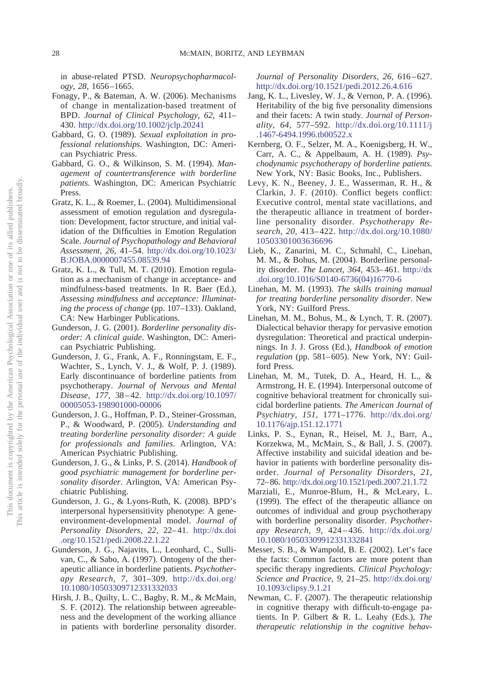in abuse-related PTSD. *Neuropsychopharmacology, 28,* 1656 –1665.

- <span id="page-8-21"></span>Fonagy, P., & Bateman, A. W. (2006). Mechanisms of change in mentalization-based treatment of BPD. *Journal of Clinical Psychology, 62,* 411– 430. <http://dx.doi.org/10.1002/jclp.20241>
- <span id="page-8-19"></span>Gabbard, G. O. (1989). *Sexual exploitation in professional relationships*. Washington, DC: American Psychiatric Press.
- <span id="page-8-15"></span>Gabbard, G. O., & Wilkinson, S. M. (1994). *Management of countertransference with borderline patients*. Washington, DC: American Psychiatric Press.
- <span id="page-8-10"></span>Gratz, K. L., & Roemer, L. (2004). Multidimensional assessment of emotion regulation and dysregulation: Development, factor structure, and initial validation of the Difficulties in Emotion Regulation Scale. *Journal of Psychopathology and Behavioral Assessment, 26,* 41–54. [http://dx.doi.org/10.1023/](http://dx.doi.org/10.1023/B:JOBA.0000007455.08539.94) [B:JOBA.0000007455.08539.94](http://dx.doi.org/10.1023/B:JOBA.0000007455.08539.94)
- <span id="page-8-11"></span>Gratz, K. L., & Tull, M. T. (2010). Emotion regulation as a mechanism of change in acceptance- and mindfulness-based treatments. In R. Baer (Ed.), *Assessing mindfulness and acceptance: Illuminating the process of change* (pp. 107–133). Oakland, CA: New Harbinger Publications.
- <span id="page-8-7"></span>Gunderson, J. G. (2001). *Borderline personality disorder: A clinical guide*. Washington, DC: American Psychiatric Publishing.
- <span id="page-8-17"></span>Gunderson, J. G., Frank, A. F., Ronningstam, E. F., Wachter, S., Lynch, V. J., & Wolf, P. J. (1989). Early discontinuance of borderline patients from psychotherapy. *Journal of Nervous and Mental Disease, 177,* 38 – 42. [http://dx.doi.org/10.1097/](http://dx.doi.org/10.1097/00005053-198901000-00006) [00005053-198901000-00006](http://dx.doi.org/10.1097/00005053-198901000-00006)
- <span id="page-8-22"></span>Gunderson, J. G., Hoffman, P. D., Steiner-Grossman, P., & Woodward, P. (2005). *Understanding and treating borderline personality disorder: A guide for professionals and families*. Arlington, VA: American Psychiatric Publishing.
- <span id="page-8-2"></span>Gunderson, J. G., & Links, P. S. (2014). *Handbook of good psychiatric management for borderline personality disorder*. Arlington, VA: American Psychiatric Publishing.
- <span id="page-8-13"></span>Gunderson, J. G., & Lyons-Ruth, K. (2008). BPD's interpersonal hypersensitivity phenotype: A geneenvironment-developmental model. *Journal of Personality Disorders, 22,* 22– 41. [http://dx.doi](http://dx.doi.org/10.1521/pedi.2008.22.1.22) [.org/10.1521/pedi.2008.22.1.22](http://dx.doi.org/10.1521/pedi.2008.22.1.22)
- <span id="page-8-4"></span>Gunderson, J. G., Najavits, L., Leonhard, C., Sullivan, C., & Sabo, A. (1997). Ontogeny of the therapeutic alliance in borderline patients. *Psychotherapy Research, 7,* 301–309. [http://dx.doi.org/](http://dx.doi.org/10.1080/10503309712331332033) [10.1080/10503309712331332033](http://dx.doi.org/10.1080/10503309712331332033)
- <span id="page-8-5"></span>Hirsh, J. B., Quilty, L. C., Bagby, R. M., & McMain, S. F. (2012). The relationship between agreeableness and the development of the working alliance in patients with borderline personality disorder.

Journal of Personality Disorders, 26, 616-627. <http://dx.doi.org/10.1521/pedi.2012.26.4.616>

- <span id="page-8-14"></span>Jang, K. L., Livesley, W. J., & Vernon, P. A. (1996). Heritability of the big five personality dimensions and their facets: A twin study. *Journal of Personality, 64,* 577–592. [http://dx.doi.org/10.1111/j](http://dx.doi.org/10.1111/j.1467-6494.1996.tb00522.x) [.1467-6494.1996.tb00522.x](http://dx.doi.org/10.1111/j.1467-6494.1996.tb00522.x)
- <span id="page-8-18"></span>Kernberg, O. F., Selzer, M. A., Koenigsberg, H. W., Carr, A. C., & Appelbaum, A. H. (1989). *Psychodynamic psychotherapy of borderline patients*. New York, NY: Basic Books, Inc., Publishers.
- <span id="page-8-12"></span>Levy, K. N., Beeney, J. E., Wasserman, R. H., & Clarkin, J. F. (2010). Conflict begets conflict: Executive control, mental state vacillations, and the therapeutic alliance in treatment of borderline personality disorder. *Psychotherapy Research, 20,* 413– 422. [http://dx.doi.org/10.1080/](http://dx.doi.org/10.1080/10503301003636696) [10503301003636696](http://dx.doi.org/10.1080/10503301003636696)
- <span id="page-8-0"></span>Lieb, K., Zanarini, M. C., Schmahl, C., Linehan, M. M., & Bohus, M. (2004). Borderline personality disorder. *The Lancet, 364,* 453– 461. [http://dx](http://dx.doi.org/10.1016/S0140-6736%2804%2916770-6) [.doi.org/10.1016/S0140-6736\(04\)16770-6](http://dx.doi.org/10.1016/S0140-6736%2804%2916770-6)
- <span id="page-8-3"></span>Linehan, M. M. (1993). *The skills training manual for treating borderline personality disorder*. New York, NY: Guilford Press.
- <span id="page-8-8"></span>Linehan, M. M., Bohus, M., & Lynch, T. R. (2007). Dialectical behavior therapy for pervasive emotion dysregulation: Theoretical and practical underpinnings. In J. J. Gross (Ed.), *Handbook of emotion regulation* (pp. 581– 605). New York, NY: Guilford Press.
- <span id="page-8-16"></span>Linehan, M. M., Tutek, D. A., Heard, H. L., & Armstrong, H. E. (1994). Interpersonal outcome of cognitive behavioral treatment for chronically suicidal borderline patients. *The American Journal of Psychiatry, 151,* 1771–1776. [http://dx.doi.org/](http://dx.doi.org/10.1176/ajp.151.12.1771) [10.1176/ajp.151.12.1771](http://dx.doi.org/10.1176/ajp.151.12.1771)
- <span id="page-8-9"></span>Links, P. S., Eynan, R., Heisel, M. J., Barr, A., Korzekwa, M., McMain, S., & Ball, J. S. (2007). Affective instability and suicidal ideation and behavior in patients with borderline personality disorder. *Journal of Personality Disorders, 21,* 72– 86. <http://dx.doi.org/10.1521/pedi.2007.21.1.72>
- <span id="page-8-6"></span>Marziali, E., Munroe-Blum, H., & McLeary, L. (1999). The effect of the therapeutic alliance on outcomes of individual and group psychotherapy with borderline personality disorder. *Psychotherapy Research, 9,* 424 – 436. [http://dx.doi.org/](http://dx.doi.org/10.1080/10503309912331332841) [10.1080/10503309912331332841](http://dx.doi.org/10.1080/10503309912331332841)
- <span id="page-8-1"></span>Messer, S. B., & Wampold, B. E. (2002). Let's face the facts: Common factors are more potent than specific therapy ingredients. *Clinical Psychology: Science and Practice, 9,* 21–25. [http://dx.doi.org/](http://dx.doi.org/10.1093/clipsy.9.1.21) [10.1093/clipsy.9.1.21](http://dx.doi.org/10.1093/clipsy.9.1.21)
- <span id="page-8-20"></span>Newman, C. F. (2007). The therapeutic relationship in cognitive therapy with difficult-to-engage patients. In P. Gilbert & R. L. Leahy (Eds.), *The therapeutic relationship in the cognitive behav-*